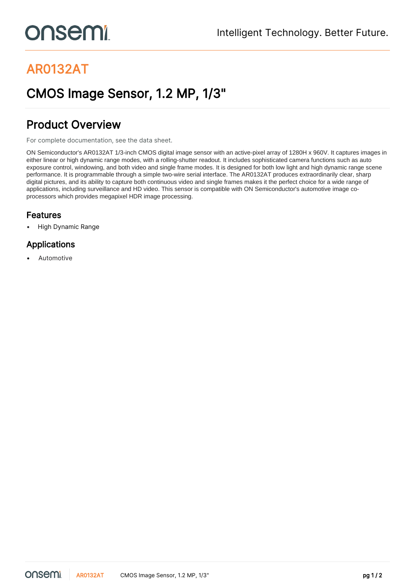# **onsemi**

# AR0132AT

## CMOS Image Sensor, 1.2 MP, 1/3"

## Product Overview

For complete documentation, see the [data sheet.](https://www.onsemi.com/PowerSolutions/product.do?id=AR0132AT)

ON Semiconductor's AR0132AT 1/3-inch CMOS digital image sensor with an active-pixel array of 1280H x 960V. It captures images in either linear or high dynamic range modes, with a rolling-shutter readout. It includes sophisticated camera functions such as auto exposure control, windowing, and both video and single frame modes. It is designed for both low light and high dynamic range scene performance. It is programmable through a simple two-wire serial interface. The AR0132AT produces extraordinarily clear, sharp digital pictures, and its ability to capture both continuous video and single frames makes it the perfect choice for a wide range of applications, including surveillance and HD video. This sensor is compatible with ON Semiconductor's automotive image coprocessors which provides megapixel HDR image processing.

#### Features

• High Dynamic Range

### Applications

**Automotive**